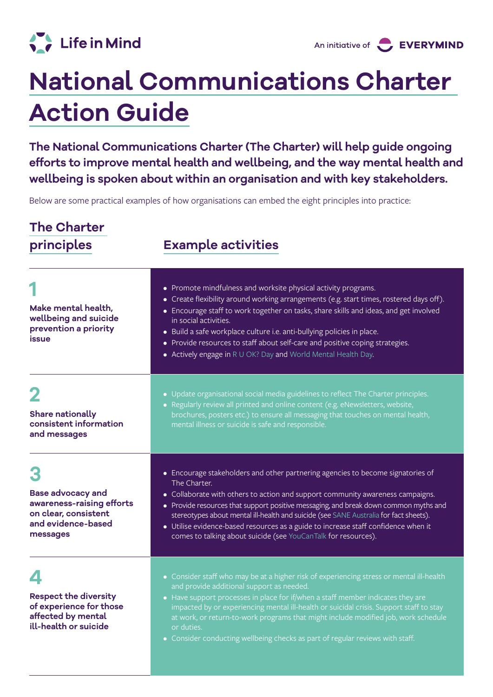

## **National Communications Charter Action Guide**

**The [National Communications Charter](https://lifeinmindaustralia.imgix.net/assets/src/user-uploads/EM-0046_National_Communications_Charter_230920_online_spread.pdf) (The Charter) will help guide ongoing efforts to improve mental health and wellbeing, and the way mental health and wellbeing is spoken about within an organisation and with key stakeholders.**

Below are some practical examples of how organisations can embed the eight principles into practice:

## **The Charter**

## **principles Example activities**

| Make mental health,<br>wellbeing and suicide<br>prevention a priority<br>issue                                  | • Promote mindfulness and worksite physical activity programs.<br>• Create flexibility around working arrangements (e.g. start times, rostered days off).<br>• Encourage staff to work together on tasks, share skills and ideas, and get involved<br>in social activities.<br>• Build a safe workplace culture i.e. anti-bullying policies in place.<br>• Provide resources to staff about self-care and positive coping strategies.<br>• Actively engage in R U OK? Day and World Mental Health Day.                     |
|-----------------------------------------------------------------------------------------------------------------|----------------------------------------------------------------------------------------------------------------------------------------------------------------------------------------------------------------------------------------------------------------------------------------------------------------------------------------------------------------------------------------------------------------------------------------------------------------------------------------------------------------------------|
| <b>Share nationally</b><br>consistent information<br>and messages                                               | • Update organisational social media guidelines to reflect The Charter principles.<br>• Regularly review all printed and online content (e.g. eNewsletters, website,<br>brochures, posters etc.) to ensure all messaging that touches on mental health,<br>mental illness or suicide is safe and responsible.                                                                                                                                                                                                              |
| <b>Base advocacy and</b><br>awareness-raising efforts<br>on clear, consistent<br>and evidence-based<br>messages | • Encourage stakeholders and other partnering agencies to become signatories of<br>The Charter.<br>• Collaborate with others to action and support community awareness campaigns.<br>• Provide resources that support positive messaging, and break down common myths and<br>stereotypes about mental ill-health and suicide (see SANE Australia for fact sheets).<br>• Utilise evidence-based resources as a guide to increase staff confidence when it<br>comes to talking about suicide (see YouCanTalk for resources). |
| <b>Respect the diversity</b><br>of experience for those<br>affected by mental<br>ill-health or suicide          | • Consider staff who may be at a higher risk of experiencing stress or mental ill-health<br>and provide additional support as needed.<br>• Have support processes in place for if/when a staff member indicates they are<br>impacted by or experiencing mental ill-health or suicidal crisis. Support staff to stay<br>at work, or return-to-work programs that might include modified job, work schedule<br>or duties.<br>• Consider conducting wellbeing checks as part of regular reviews with staff.                   |